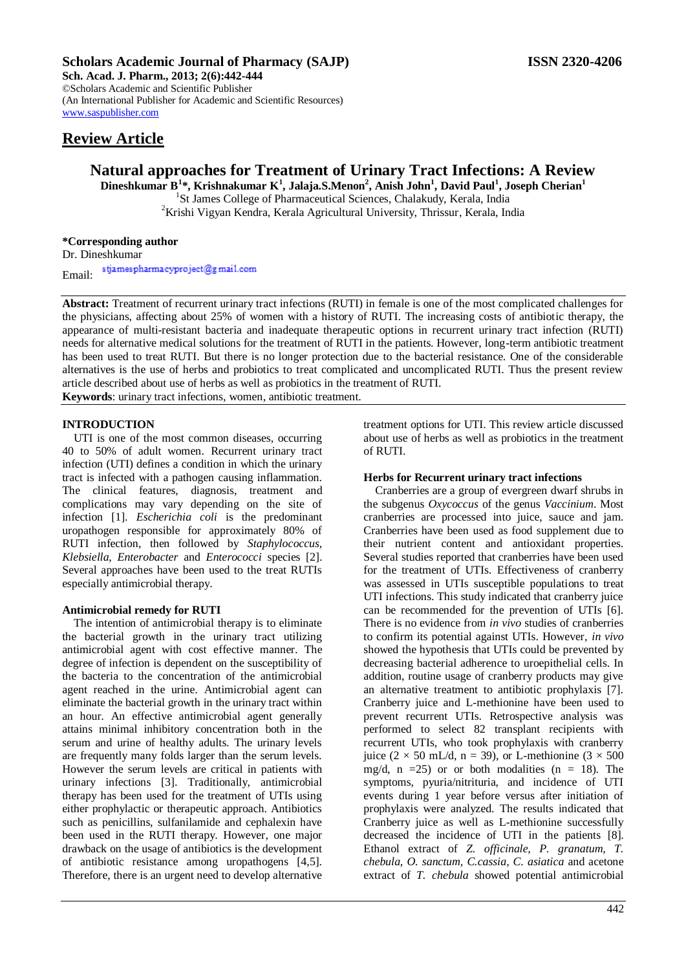## **Scholars Academic Journal of Pharmacy (SAJP) ISSN 2320-4206**

**Sch. Acad. J. Pharm., 2013; 2(6):442-444** ©Scholars Academic and Scientific Publisher (An International Publisher for Academic and Scientific Resources) [www.saspublisher.com](http://www.saspublisher.com/) 

# **Review Article**

# **Natural approaches for Treatment of Urinary Tract Infections: A Review**

**Dineshkumar B<sup>1</sup> \*, Krishnakumar K<sup>1</sup> , Jalaja.S.Menon<sup>2</sup> , Anish John<sup>1</sup> , David Paul<sup>1</sup> , Joseph Cherian<sup>1</sup>** <sup>1</sup>St James College of Pharmaceutical Sciences, Chalakudy, Kerala, India <sup>2</sup>Krishi Vigyan Kendra, Kerala Agricultural University, Thrissur, Kerala, India

### **\*Corresponding author**

Dr. Dineshkumar

stjamespharmacyproject@gmail.com Email:

**Abstract:** Treatment of recurrent urinary tract infections (RUTI) in female is one of the most complicated challenges for the physicians, affecting about 25% of women with a history of RUTI. The increasing costs of antibiotic therapy, the appearance of multi-resistant bacteria and inadequate therapeutic options in recurrent urinary tract infection (RUTI) needs for alternative medical solutions for the treatment of RUTI in the patients. However, long-term antibiotic treatment has been used to treat RUTI. But there is no longer protection due to the bacterial resistance. One of the considerable alternatives is the use of herbs and probiotics to treat complicated and uncomplicated RUTI. Thus the present review article described about use of herbs as well as probiotics in the treatment of RUTI. **Keywords**: urinary tract infections, women, antibiotic treatment.

## **INTRODUCTION**

UTI is one of the most common diseases, occurring 40 to 50% of adult women. Recurrent urinary tract infection (UTI) defines a condition in which the urinary tract is infected with a pathogen causing inflammation. The clinical features, diagnosis, treatment and complications may vary depending on the site of infection [1]. *Escherichia coli* is the predominant uropathogen responsible for approximately 80% of RUTI infection, then followed by *Staphylococcus, Klebsiella, Enterobacter* and *Enterococci* species [2]. Several approaches have been used to the treat RUTIs especially antimicrobial therapy.

## **Antimicrobial remedy for RUTI**

The intention of antimicrobial therapy is to eliminate the bacterial growth in the urinary tract utilizing antimicrobial agent with cost effective manner. The degree of infection is dependent on the susceptibility of the bacteria to the concentration of the antimicrobial agent reached in the urine. Antimicrobial agent can eliminate the bacterial growth in the urinary tract within an hour. An effective antimicrobial agent generally attains minimal inhibitory concentration both in the serum and urine of healthy adults. The urinary levels are frequently many folds larger than the serum levels. However the serum levels are critical in patients with urinary infections [3]. Traditionally, antimicrobial therapy has been used for the treatment of UTIs using either prophylactic or therapeutic approach. Antibiotics such as penicillins, sulfanilamide and cephalexin have been used in the RUTI therapy. However, one major drawback on the usage of antibiotics is the development of antibiotic resistance among uropathogens [4,5]. Therefore, there is an urgent need to develop alternative

treatment options for UTI. This review article discussed about use of herbs as well as probiotics in the treatment of RUTI.

#### **Herbs for Recurrent urinary tract infections**

Cranberries are a group of evergreen dwarf shrubs in the subgenus *Oxycoccus* of the genus *Vaccinium*. Most cranberries are processed into juice, sauce and jam. Cranberries have been used as food supplement due to their nutrient content and antioxidant properties. Several studies reported that cranberries have been used for the treatment of UTIs. Effectiveness of cranberry was assessed in UTIs susceptible populations to treat UTI infections. This study indicated that cranberry juice can be recommended for the prevention of UTIs [6]. There is no evidence from *in vivo* studies of cranberries to confirm its potential against UTIs. However, *in vivo* showed the hypothesis that UTIs could be prevented by decreasing bacterial adherence to uroepithelial cells. In addition, routine usage of cranberry products may give an alternative treatment to antibiotic prophylaxis [7]. Cranberry juice and L-methionine have been used to prevent recurrent UTIs. Retrospective analysis was performed to select 82 transplant recipients with recurrent UTIs, who took prophylaxis with cranberry juice (2  $\times$  50 mL/d, n = 39), or L-methionine (3  $\times$  500 mg/d,  $n = 25$  or or both modalities  $(n = 18)$ . The symptoms, pyuria/nitrituria, and incidence of UTI events during 1 year before versus after initiation of prophylaxis were analyzed. The results indicated that Cranberry juice as well as L-methionine successfully decreased the incidence of UTI in the patients [8]. Ethanol extract of *Z. officinale, P. granatum, T. chebula, O. sanctum, C.cassia, C. asiatica* and acetone extract of *T. chebula* showed potential antimicrobial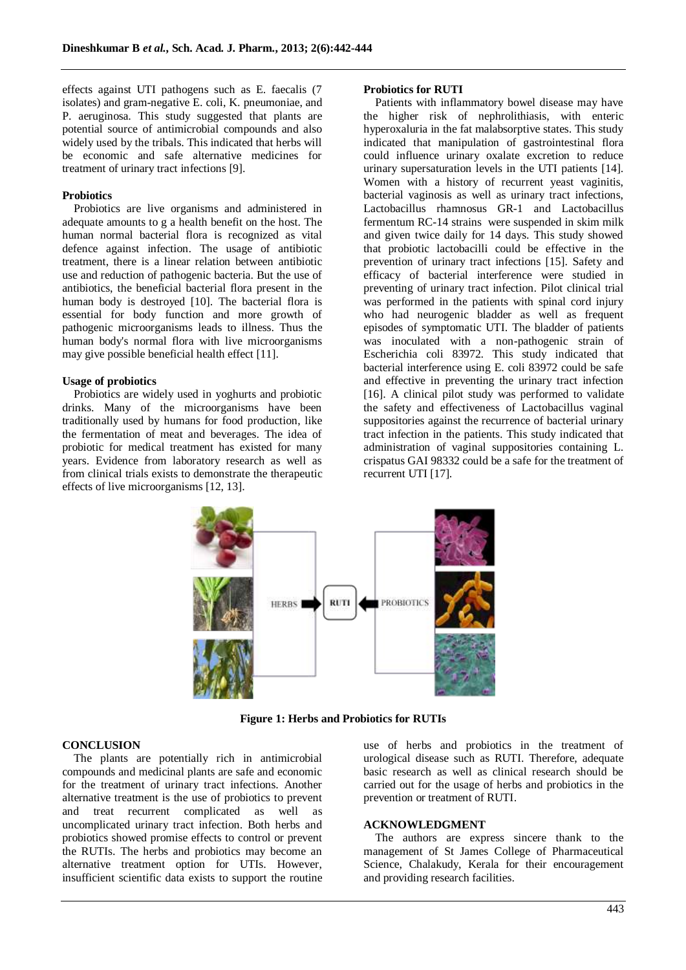effects against UTI pathogens such as E. faecalis (7 isolates) and gram-negative E. coli, K. pneumoniae, and P. aeruginosa. This study suggested that plants are potential source of antimicrobial compounds and also widely used by the tribals. This indicated that herbs will be economic and safe alternative medicines for treatment of urinary tract infections [9].

#### **Probiotics**

Probiotics are live organisms and administered in adequate amounts to g a health benefit on the host. The human normal bacterial flora is recognized as vital defence against infection. The usage of antibiotic treatment, there is a linear relation between antibiotic use and reduction of pathogenic bacteria. But the use of antibiotics, the beneficial bacterial flora present in the human body is destroyed [10]. The bacterial flora is essential for body function and more growth of pathogenic microorganisms leads to illness. Thus the human body's normal flora with live microorganisms may give possible beneficial health effect [11].

#### **Usage of probiotics**

Probiotics are widely used in yoghurts and probiotic drinks. Many of the microorganisms have been traditionally used by humans for food production, like the fermentation of meat and beverages. The idea of probiotic for medical treatment has existed for many years. Evidence from laboratory research as well as from clinical trials exists to demonstrate the therapeutic effects of live microorganisms [12, 13].

## **Probiotics for RUTI**

Patients with inflammatory bowel disease may have the higher risk of nephrolithiasis, with enteric hyperoxaluria in the fat malabsorptive states. This study indicated that manipulation of gastrointestinal flora could influence urinary oxalate excretion to reduce urinary supersaturation levels in the UTI patients [14]. Women with a history of recurrent yeast vaginitis, bacterial vaginosis as well as urinary tract infections, Lactobacillus rhamnosus GR-1 and Lactobacillus fermentum RC-14 strains were suspended in skim milk and given twice daily for 14 days. This study showed that probiotic lactobacilli could be effective in the prevention of urinary tract infections [15]. Safety and efficacy of bacterial interference were studied in preventing of urinary tract infection. Pilot clinical trial was performed in the patients with spinal cord injury who had neurogenic bladder as well as frequent episodes of symptomatic UTI. The bladder of patients was inoculated with a non-pathogenic strain of Escherichia coli 83972. This study indicated that bacterial interference using E. coli 83972 could be safe and effective in preventing the urinary tract infection [16]. A clinical pilot study was performed to validate the safety and effectiveness of Lactobacillus vaginal suppositories against the recurrence of bacterial urinary tract infection in the patients. This study indicated that administration of vaginal suppositories containing L. crispatus GAI 98332 could be a safe for the treatment of recurrent UTI [17].



**Figure 1: Herbs and Probiotics for RUTIs**

#### **CONCLUSION**

The plants are potentially rich in antimicrobial compounds and medicinal plants are safe and economic for the treatment of urinary tract infections. Another alternative treatment is the use of probiotics to prevent and treat recurrent complicated as well as uncomplicated urinary tract infection. Both herbs and probiotics showed promise effects to control or prevent the RUTIs. The herbs and probiotics may become an alternative treatment option for UTIs. However, insufficient scientific data exists to support the routine use of herbs and probiotics in the treatment of urological disease such as RUTI. Therefore, adequate basic research as well as clinical research should be carried out for the usage of herbs and probiotics in the prevention or treatment of RUTI.

## **ACKNOWLEDGMENT**

The authors are express sincere thank to the management of St James College of Pharmaceutical Science, Chalakudy, Kerala for their encouragement and providing research facilities.